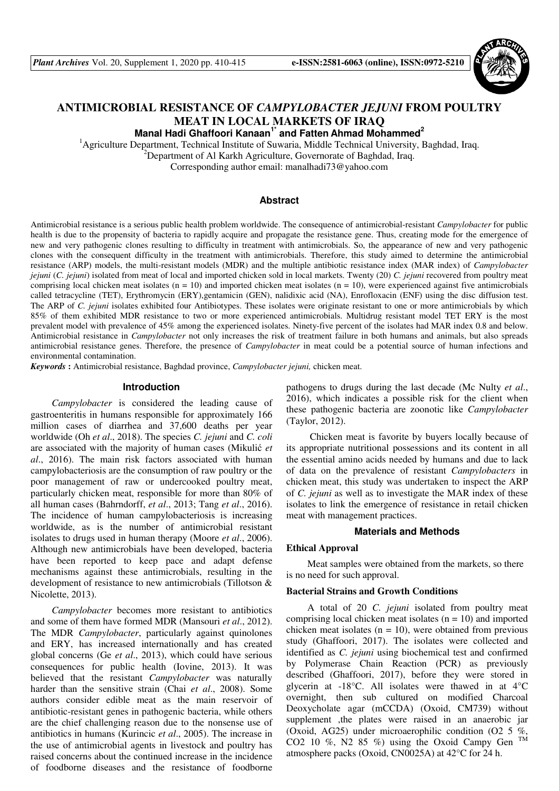

# **ANTIMICROBIAL RESISTANCE OF** *CAMPYLOBACTER JEJUNI* **FROM POULTRY MEAT IN LOCAL MARKETS OF IRAQ**

**Manal Hadi Ghaffoori Kanaan1\* and Fatten Ahmad Mohammed<sup>2</sup>**

<sup>1</sup>Agriculture Department, Technical Institute of Suwaria, Middle Technical University, Baghdad, Iraq.

<sup>2</sup>Department of Al Karkh Agriculture, Governorate of Baghdad, Iraq.

Corresponding author email: manalhadi73@yahoo.com

# **Abstract**

Antimicrobial resistance is a serious public health problem worldwide. The consequence of antimicrobial-resistant *Campylobacter* for public health is due to the propensity of bacteria to rapidly acquire and propagate the resistance gene. Thus, creating mode for the emergence of new and very pathogenic clones resulting to difficulty in treatment with antimicrobials. So, the appearance of new and very pathogenic clones with the consequent difficulty in the treatment with antimicrobials. Therefore, this study aimed to determine the antimicrobial resistance (ARP) models, the multi-resistant models (MDR) and the multiple antibiotic resistance index (MAR index) of *Campylobacter jejuni* (*C. jejuni*) isolated from meat of local and imported chicken sold in local markets. Twenty (20) *C. jejuni* recovered from poultry meat comprising local chicken meat isolates ( $n = 10$ ) and imported chicken meat isolates ( $n = 10$ ), were experienced against five antimicrobials called tetracycline (TET), Erythromycin (ERY),gentamicin (GEN), nalidixic acid (NA), Enrofloxacin (ENF) using the disc diffusion test. The ARP of *C. jejuni* isolates exhibited four Antibiotypes. These isolates were originate resistant to one or more antimicrobials by which 85% of them exhibited MDR resistance to two or more experienced antimicrobials. Multidrug resistant model TET ERY is the most prevalent model with prevalence of 45% among the experienced isolates. Ninety-five percent of the isolates had MAR index 0.8 and below. Antimicrobial resistance in *Campylobacter* not only increases the risk of treatment failure in both humans and animals, but also spreads antimicrobial resistance genes. Therefore, the presence of *Campylobacter* in meat could be a potential source of human infections and environmental contamination.

*Keywords* **:** Antimicrobial resistance, Baghdad province, *Campylobacter jejuni,* chicken meat.

### **Introduction**

*Campylobacter* is considered the leading cause of gastroenteritis in humans responsible for approximately 166 million cases of diarrhea and 37,600 deaths per year worldwide (Oh *et al*., 2018). The species *C. jejuni* and *C. coli* are associated with the majority of human cases (Mikulić *et al*., 2016). The main risk factors associated with human campylobacteriosis are the consumption of raw poultry or the poor management of raw or undercooked poultry meat, particularly chicken meat, responsible for more than 80% of all human cases (Bahrndorff, *et al*., 2013; Tang *et al*., 2016). The incidence of human campylobacteriosis is increasing worldwide, as is the number of antimicrobial resistant isolates to drugs used in human therapy (Moore *et al*., 2006). Although new antimicrobials have been developed, bacteria have been reported to keep pace and adapt defense mechanisms against these antimicrobials, resulting in the development of resistance to new antimicrobials (Tillotson & Nicolette, 2013).

*Campylobacter* becomes more resistant to antibiotics and some of them have formed MDR (Mansouri *et al*., 2012). The MDR *Campylobacter*, particularly against quinolones and ERY, has increased internationally and has created global concerns (Ge *et al*., 2013), which could have serious consequences for public health (Iovine, 2013). It was believed that the resistant *Campylobacter* was naturally harder than the sensitive strain (Chai *et al*., 2008). Some authors consider edible meat as the main reservoir of antibiotic-resistant genes in pathogenic bacteria, while others are the chief challenging reason due to the nonsense use of antibiotics in humans (Kurincic *et al*., 2005). The increase in the use of antimicrobial agents in livestock and poultry has raised concerns about the continued increase in the incidence of foodborne diseases and the resistance of foodborne

pathogens to drugs during the last decade (Mc Nulty *et al*., 2016), which indicates a possible risk for the client when these pathogenic bacteria are zoonotic like *Campylobacter* (Taylor, 2012).

 Chicken meat is favorite by buyers locally because of its appropriate nutritional possessions and its content in all the essential amino acids needed by humans and due to lack of data on the prevalence of resistant *Campylobacters* in chicken meat, this study was undertaken to inspect the ARP of *C. jejuni* as well as to investigate the MAR index of these isolates to link the emergence of resistance in retail chicken meat with management practices.

# **Materials and Methods**

# **Ethical Approval**

Meat samples were obtained from the markets, so there is no need for such approval.

### **Bacterial Strains and Growth Conditions**

A total of 20 *C. jejuni* isolated from poultry meat comprising local chicken meat isolates  $(n = 10)$  and imported chicken meat isolates  $(n = 10)$ , were obtained from previous study (Ghaffoori, 2017). The isolates were collected and identified as *C. jejuni* using biochemical test and confirmed by Polymerase Chain Reaction (PCR) as previously described (Ghaffoori, 2017), before they were stored in glycerin at -18°C. All isolates were thawed in at 4**°**C overnight, then sub cultured on modified Charcoal Deoxycholate agar (mCCDA) (Oxoid, CM739) without supplement ,the plates were raised in an anaerobic jar (Oxoid, AG25) under microaerophilic condition (O2 5 %, CO2 10 %, N2 85 %) using the Oxoid Campy Gen  $TM$ atmosphere packs (Oxoid, CN0025A) at 42°C for 24 h.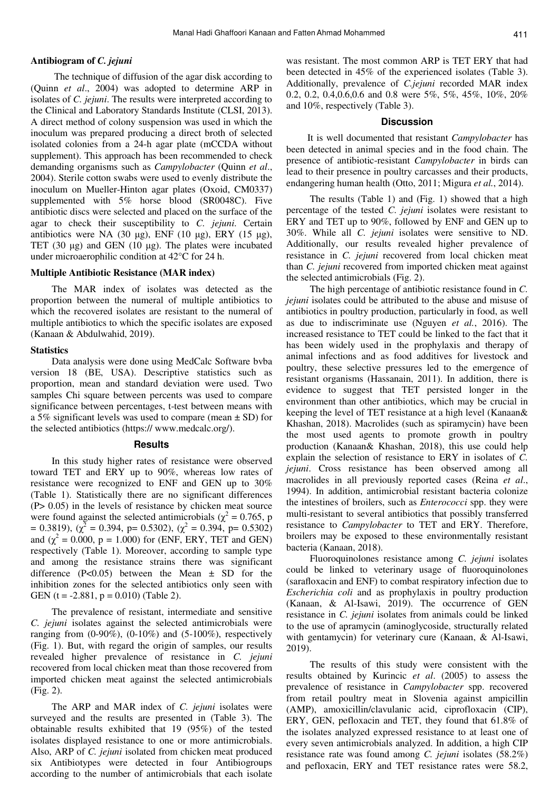### **Antibiogram of** *C. jejuni*

 The technique of diffusion of the agar disk according to (Quinn *et al*., 2004) was adopted to determine ARP in isolates of *C. jejuni*. The results were interpreted according to the Clinical and Laboratory Standards Institute (CLSI, 2013). A direct method of colony suspension was used in which the inoculum was prepared producing a direct broth of selected isolated colonies from a 24-h agar plate (mCCDA without supplement). This approach has been recommended to check demanding organisms such as *Campylobacter* (Quinn *et al*., 2004). Sterile cotton swabs were used to evenly distribute the inoculum on Mueller-Hinton agar plates (Oxoid, CM0337) supplemented with 5% horse blood (SR0048C). Five antibiotic discs were selected and placed on the surface of the agar to check their susceptibility to *C. jejuni*. Certain antibiotics were NA  $(30 \text{ µg})$ , ENF  $(10 \text{ µg})$ , ERY  $(15 \text{ µg})$ , TET (30 µg) and GEN (10 µg). The plates were incubated under microaerophilic condition at 42°C for 24 h.

### **Multiple Antibiotic Resistance (MAR index)**

The MAR index of isolates was detected as the proportion between the numeral of multiple antibiotics to which the recovered isolates are resistant to the numeral of multiple antibiotics to which the specific isolates are exposed (Kanaan & Abdulwahid, 2019).

#### **Statistics**

Data analysis were done using MedCalc Software bvba version 18 (BE, USA). Descriptive statistics such as proportion, mean and standard deviation were used. Two samples Chi square between percents was used to compare significance between percentages, t-test between means with a 5% significant levels was used to compare (mean  $\pm$  SD) for the selected antibiotics (https:// www.medcalc.org/).

### **Results**

In this study higher rates of resistance were observed toward TET and ERY up to 90%, whereas low rates of resistance were recognized to ENF and GEN up to 30% (Table 1). Statistically there are no significant differences (P> 0.05) in the levels of resistance by chicken meat source were found against the selected antimicrobials ( $\chi^2 = 0.765$ , p  $= 0.3819$ ,  $(\chi^2 = 0.394, p = 0.5302)$ ,  $(\chi^2 = 0.394, p = 0.5302)$ and  $(\chi^2 = 0.000, p = 1.000)$  for (ENF, ERY, TET and GEN) respectively (Table 1). Moreover, according to sample type and among the resistance strains there was significant difference  $(P<0.05)$  between the Mean  $\pm$  SD for the inhibition zones for the selected antibiotics only seen with GEN (t =  $-2.881$ , p = 0.010) (Table 2).

The prevalence of resistant, intermediate and sensitive *C. jejuni* isolates against the selected antimicrobials were ranging from  $(0-90\%)$ ,  $(0-10\%)$  and  $(5-100\%)$ , respectively (Fig. 1). But, with regard the origin of samples, our results revealed higher prevalence of resistance in *C. jejuni* recovered from local chicken meat than those recovered from imported chicken meat against the selected antimicrobials (Fig. 2).

The ARP and MAR index of *C. jejuni* isolates were surveyed and the results are presented in (Table 3). The obtainable results exhibited that 19 (95%) of the tested isolates displayed resistance to one or more antimicrobials. Also, ARP of *C. jejuni* isolated from chicken meat produced six Antibiotypes were detected in four Antibiogroups according to the number of antimicrobials that each isolate

was resistant. The most common ARP is TET ERY that had been detected in 45% of the experienced isolates (Table 3). Additionally, prevalence of *C.jejuni* recorded MAR index 0.2, 0.2, 0.4,0.6,0.6 and 0.8 were 5%, 5%, 45%, 10%, 20% and 10%, respectively (Table 3).

### **Discussion**

It is well documented that resistant *Campylobacter* has been detected in animal species and in the food chain. The presence of antibiotic-resistant *Campylobacter* in birds can lead to their presence in poultry carcasses and their products, endangering human health (Otto, 2011; Migura *et al.*, 2014).

 The results (Table 1) and (Fig. 1) showed that a high percentage of the tested *C. jejuni* isolates were resistant to ERY and TET up to 90%, followed by ENF and GEN up to 30%. While all *C. jejuni* isolates were sensitive to ND. Additionally, our results revealed higher prevalence of resistance in *C. jejuni* recovered from local chicken meat than *C. jejuni* recovered from imported chicken meat against the selected antimicrobials (Fig. 2).

 The high percentage of antibiotic resistance found in *C. jejuni* isolates could be attributed to the abuse and misuse of antibiotics in poultry production, particularly in food, as well as due to indiscriminate use (Nguyen *et al.*, 2016). The increased resistance to TET could be linked to the fact that it has been widely used in the prophylaxis and therapy of animal infections and as food additives for livestock and poultry, these selective pressures led to the emergence of resistant organisms (Hassanain, 2011). In addition, there is evidence to suggest that TET persisted longer in the environment than other antibiotics, which may be crucial in keeping the level of TET resistance at a high level (Kanaan& Khashan, 2018). Macrolides (such as spiramycin) have been the most used agents to promote growth in poultry production (Kanaan& Khashan, 2018), this use could help explain the selection of resistance to ERY in isolates of *C. jejuni*. Cross resistance has been observed among all macrolides in all previously reported cases (Reina *et al*., 1994). In addition, antimicrobial resistant bacteria colonize the intestines of broilers, such as *Enterococci* spp. they were multi-resistant to several antibiotics that possibly transferred resistance to *Campylobacter* to TET and ERY. Therefore, broilers may be exposed to these environmentally resistant bacteria (Kanaan, 2018).

 Fluoroquinolones resistance among *C. jejuni* isolates could be linked to veterinary usage of fluoroquinolones (sarafloxacin and ENF) to combat respiratory infection due to *Escherichia coli* and as prophylaxis in poultry production (Kanaan, & Al-Isawi, 2019). The occurrence of GEN resistance in *C. jejuni* isolates from animals could be linked to the use of apramycin (aminoglycoside, structurally related with gentamycin) for veterinary cure (Kanaan, & Al-Isawi, 2019).

 The results of this study were consistent with the results obtained by Kurincic *et al*. (2005) to assess the prevalence of resistance in *Campylobacter* spp. recovered from retail poultry meat in Slovenia against ampicillin (AMP), amoxicillin/clavulanic acid, ciprofloxacin (CIP), ERY, GEN, pefloxacin and TET, they found that 61.8% of the isolates analyzed expressed resistance to at least one of every seven antimicrobials analyzed. In addition, a high CIP resistance rate was found among *C. jejuni* isolates (58.2%) and pefloxacin, ERY and TET resistance rates were 58.2,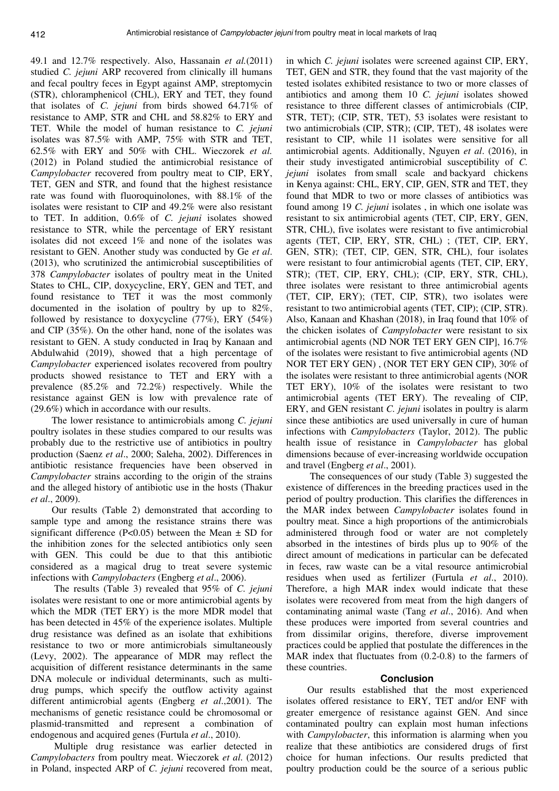49.1 and 12.7% respectively. Also, Hassanain *et al.*(2011) studied *C. jejuni* ARP recovered from clinically ill humans and fecal poultry feces in Egypt against AMP, streptomycin (STR), chloramphenicol (CHL), ERY and TET, they found that isolates of *C. jejuni* from birds showed 64.71% of resistance to AMP, STR and CHL and 58.82% to ERY and TET. While the model of human resistance to *C. jejuni* isolates was 87.5% with AMP, 75% with STR and TET, 62.5% with ERY and 50% with CHL. Wieczorek *et al.* (2012) in Poland studied the antimicrobial resistance of *Campylobacter* recovered from poultry meat to CIP, ERY, TET, GEN and STR, and found that the highest resistance rate was found with fluoroquinolones, with 88.1% of the isolates were resistant to CIP and 49.2% were also resistant to TET. In addition, 0.6% of *C. jejuni* isolates showed resistance to STR, while the percentage of ERY resistant isolates did not exceed 1% and none of the isolates was resistant to GEN. Another study was conducted by Ge *et al*. (2013), who scrutinized the antimicrobial susceptibilities of 378 *Campylobacter* isolates of poultry meat in the United States to CHL, CIP, doxycycline, ERY, GEN and TET, and found resistance to TET it was the most commonly documented in the isolation of poultry by up to 82%, followed by resistance to doxycycline (77%), ERY (54%) and CIP (35%). On the other hand, none of the isolates was resistant to GEN. A study conducted in Iraq by Kanaan and Abdulwahid (2019), showed that a high percentage of *Campylobacter* experienced isolates recovered from poultry products showed resistance to TET and ERY with a prevalence (85.2% and 72.2%) respectively. While the resistance against GEN is low with prevalence rate of (29.6%) which in accordance with our results.

The lower resistance to antimicrobials among *C. jejuni* poultry isolates in these studies compared to our results was probably due to the restrictive use of antibiotics in poultry production (Saenz *et al*., 2000; Saleha, 2002). Differences in antibiotic resistance frequencies have been observed in *Campylobacter* strains according to the origin of the strains and the alleged history of antibiotic use in the hosts (Thakur *et al*., 2009).

Our results (Table 2) demonstrated that according to sample type and among the resistance strains there was significant difference (P<0.05) between the Mean  $\pm$  SD for the inhibition zones for the selected antibiotics only seen with GEN. This could be due to that this antibiotic considered as a magical drug to treat severe systemic infections with *Campylobacters* (Engberg *et al*., 2006).

 The results (Table 3) revealed that 95% of *C. jejuni* isolates were resistant to one or more antimicrobial agents by which the MDR (TET ERY) is the more MDR model that has been detected in 45% of the experience isolates. Multiple drug resistance was defined as an isolate that exhibitions resistance to two or more antimicrobials simultaneously (Levy, 2002). The appearance of MDR may reflect the acquisition of different resistance determinants in the same DNA molecule or individual determinants, such as multidrug pumps, which specify the outflow activity against different antimicrobial agents (Engberg *et al*.,2001). The mechanisms of genetic resistance could be chromosomal or plasmid-transmitted and represent a combination of endogenous and acquired genes (Furtula *et al*., 2010).

 Multiple drug resistance was earlier detected in *Campylobacters* from poultry meat. Wieczorek *et al*. (2012) in Poland, inspected ARP of *C. jejuni* recovered from meat,

in which *C. jejuni* isolates were screened against CIP, ERY, TET, GEN and STR, they found that the vast majority of the tested isolates exhibited resistance to two or more classes of antibiotics and among them 10 *C. jejuni* isolates showed resistance to three different classes of antimicrobials (CIP, STR, TET); (CIP, STR, TET), 53 isolates were resistant to two antimicrobials (CIP, STR); (CIP, TET), 48 isolates were resistant to CIP, while 11 isolates were sensitive for all antimicrobial agents. Additionally, Nguyen *et al*. (2016), in their study investigated antimicrobial susceptibility of *C. jejuni* isolates from small scale and backyard chickens in Kenya against: CHL, ERY, CIP, GEN, STR and TET, they found that MDR to two or more classes of antibiotics was found among 19 *C. jejuni* isolates , in which one isolate was resistant to six antimicrobial agents (TET, CIP, ERY, GEN, STR, CHL), five isolates were resistant to five antimicrobial agents (TET, CIP, ERY, STR, CHL) ; (TET, CIP, ERY, GEN, STR); (TET, CIP, GEN, STR, CHL), four isolates were resistant to four antimicrobial agents (TET, CIP, ERY, STR); (TET, CIP, ERY, CHL); (CIP, ERY, STR, CHL), three isolates were resistant to three antimicrobial agents (TET, CIP, ERY); (TET, CIP, STR), two isolates were resistant to two antimicrobial agents (TET, CIP); (CIP, STR). Also, Kanaan and Khashan (2018), in Iraq found that 10% of the chicken isolates of *Campylobacter* were resistant to six antimicrobial agents (ND NOR TET ERY GEN CIP], 16.7% of the isolates were resistant to five antimicrobial agents (ND NOR TET ERY GEN) , (NOR TET ERY GEN CIP), 30% of the isolates were resistant to three antimicrobial agents (NOR TET ERY), 10% of the isolates were resistant to two antimicrobial agents (TET ERY). The revealing of CIP, ERY, and GEN resistant *C. jejuni* isolates in poultry is alarm since these antibiotics are used universally in cure of human infections with *Campylobacters* (Taylor, 2012). The public health issue of resistance in *Campylobacter* has global dimensions because of ever-increasing worldwide occupation and travel (Engberg *et al*., 2001).

 The consequences of our study (Table 3) suggested the existence of differences in the breeding practices used in the period of poultry production. This clarifies the differences in the MAR index between *Campylobacter* isolates found in poultry meat. Since a high proportions of the antimicrobials administered through food or water are not completely absorbed in the intestines of birds plus up to 90% of the direct amount of medications in particular can be defecated in feces, raw waste can be a vital resource antimicrobial residues when used as fertilizer (Furtula *et al*., 2010). Therefore, a high MAR index would indicate that these isolates were recovered from meat from the high dangers of contaminating animal waste (Tang *et al*., 2016). And when these produces were imported from several countries and from dissimilar origins, therefore, diverse improvement practices could be applied that postulate the differences in the MAR index that fluctuates from (0.2-0.8) to the farmers of these countries.

### **Conclusion**

Our results established that the most experienced isolates offered resistance to ERY, TET and/or ENF with greater emergence of resistance against GEN. And since contaminated poultry can explain most human infections with *Campylobacter*, this information is alarming when you realize that these antibiotics are considered drugs of first choice for human infections. Our results predicted that poultry production could be the source of a serious public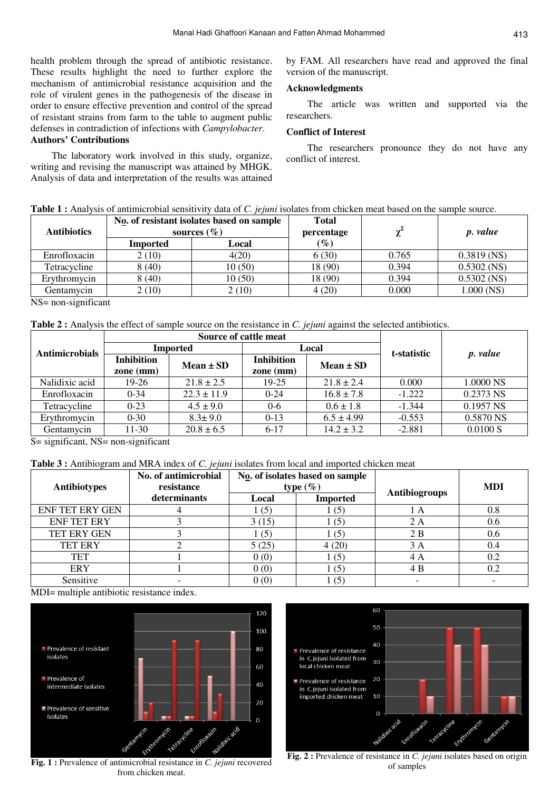health problem through the spread of antibiotic resistance. These results highlight the need to further explore the mechanism of antimicrobial resistance acquisition and the role of virulent genes in the pathogenesis of the disease in order to ensure effective prevention and control of the spread of resistant strains from farm to the table to augment public defenses in contradiction of infections with *Campylobacter*. **Authors' Contributions** 

The laboratory work involved in this study, organize, writing and revising the manuscript was attained by MHGK. Analysis of data and interpretation of the results was attained by FAM. All researchers have read and approved the final version of the manuscript.

# **Acknowledgments**

The article was written and supported via the researchers.

# **Conflict of Interest**

The researchers pronounce they do not have any conflict of interest.

|  |  |  | <b>Table 1:</b> Analysis of antimicrobial sensitivity data of C. <i>jejuni</i> isolates from chicken meat based on the sample source. |
|--|--|--|---------------------------------------------------------------------------------------------------------------------------------------|
|--|--|--|---------------------------------------------------------------------------------------------------------------------------------------|

|                                          | No. of resistant isolates based on sample |                 | <b>Total</b>                                      |       |                 |
|------------------------------------------|-------------------------------------------|-----------------|---------------------------------------------------|-------|-----------------|
| <b>Antibiotics</b>                       |                                           | sources $(\% )$ | percentage                                        |       | <i>p. value</i> |
|                                          | <b>Imported</b>                           | Local           | $\left( \frac{\partial}{\partial \theta} \right)$ |       |                 |
| Enrofloxacin                             | 2(10)                                     | 4(20)           | 6(30)                                             | 0.765 | $0.3819$ (NS)   |
| Tetracycline                             | 8(40)                                     | 10(50)          | 18 (90)                                           | 0.394 | $0.5302$ (NS)   |
| Erythromycin                             | 8(40)                                     | 10(50)          | 18 (90)                                           | 0.394 | $0.5302$ (NS)   |
| Gentamycin<br>$\sim$ $\sim$<br>$- - - -$ | 2(10)                                     | 2 (10)          | 4(20)                                             | 0.000 | $1.000$ (NS)    |

NS= non-significant

**Table 2 :** Analysis the effect of sample source on the resistance in *C. jejuni* against the selected antibiotics.

|                       | Source of cattle meat            |                 |                                  |                |             |           |
|-----------------------|----------------------------------|-----------------|----------------------------------|----------------|-------------|-----------|
| <b>Antimicrobials</b> | <b>Imported</b>                  |                 | Local                            |                | t-statistic | p. value  |
|                       | <b>Inhibition</b><br>zone $(mm)$ | Mean $\pm$ SD   | <b>Inhibition</b><br>zone $(mm)$ | $Mean \pm SD$  |             |           |
| Nalidixic acid        | 19-26                            | $21.8 \pm 2.5$  | 19-25                            | $21.8 \pm 2.4$ | 0.000       | 1.0000 NS |
| Enrofloxacin          | $0 - 34$                         | $22.3 \pm 11.9$ | $0 - 24$                         | $16.8 \pm 7.8$ | $-1.222$    | 0.2373 NS |
| Tetracycline          | $0-23$                           | $4.5 \pm 9.0$   | $0 - 6$                          | $0.6 \pm 1.8$  | $-1.344$    | 0.1957 NS |
| Erythromycin          | $0 - 30$                         | $8.3 \pm 9.0$   | $0-13$                           | $6.5 \pm 4.99$ | $-0.553$    | 0.5870 NS |
| Gentamycin            | 11-30                            | $20.8 \pm 6.5$  | $6-17$                           | $14.2 \pm 3.2$ | $-2.881$    | 0.0100 S  |

 $S =$  significant, NS= non-significant

**Table 3 :** Antibiogram and MRA index of *C. jejuni* isolates from local and imported chicken meat

|                        | No. of antimicrobial | No. of isolates based on sample<br>type $(\%)$ |                 |                      |            |
|------------------------|----------------------|------------------------------------------------|-----------------|----------------------|------------|
| <b>Antibiotypes</b>    | resistance           |                                                |                 | <b>Antibiogroups</b> | <b>MDI</b> |
|                        | determinants         | Local                                          | <b>Imported</b> |                      |            |
| <b>ENF TET ERY GEN</b> |                      | $\lfloor$ (5)                                  | (5)             | ΙA                   | $0.8\,$    |
| <b>ENF TET ERY</b>     |                      | 3(15)                                          | 1(5)            | 2 A                  | 0.6        |
| TET ERY GEN            |                      | l (5                                           | (5)             | 2B                   | 0.6        |
| <b>TET ERY</b>         |                      | 5(25)                                          | 4(20)           | 3 A                  | 0.4        |
| <b>TET</b>             |                      | 0(0)                                           | (5)             | 4 A                  | 0.2        |
| <b>ERY</b>             |                      | 0(0)                                           | (5)             | 4 B                  | 0.2        |
| Sensitive              |                      | 0(0)                                           | (5)             |                      |            |

MDI= multiple antibiotic resistance index.



**Fig. 1 :** Prevalence of antimicrobial resistance in *C. jejuni* recovered from chicken meat.



**Fig. 2 :** Prevalence of resistance in *C. jejuni* isolates based on origin of samples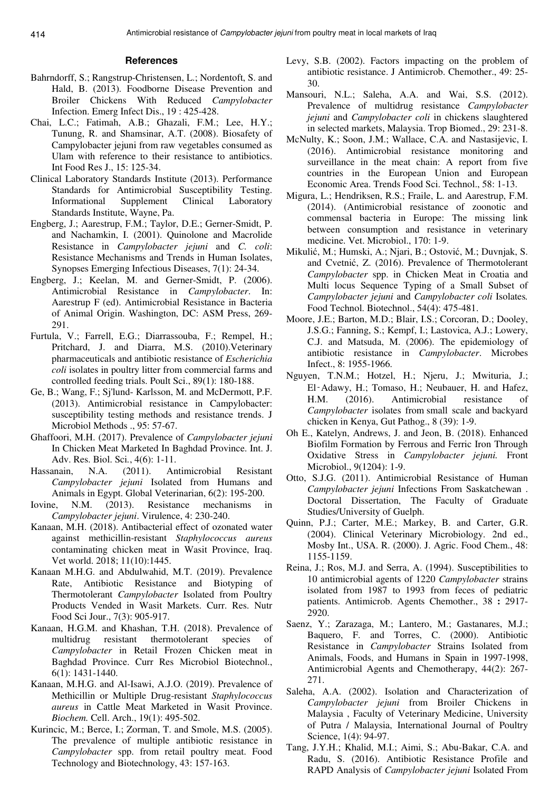### **References**

- Bahrndorff, S.; Rangstrup-Christensen, L.; Nordentoft, S. and Hald, B. (2013). Foodborne Disease Prevention and Broiler Chickens With Reduced *Campylobacter*  Infection. Emerg Infect Dis., 19 : 425-428.
- Chai, L.C.; Fatimah, A.B.; Ghazali, F.M.; Lee, H.Y.; Tunung, R. and Shamsinar, A.T. (2008). Biosafety of Campylobacter jejuni from raw vegetables consumed as Ulam with reference to their resistance to antibiotics. Int Food Res J., 15: 125-34.
- Clinical Laboratory Standards Institute (2013). Performance Standards for Antimicrobial Susceptibility Testing. Informational Supplement Clinical Laboratory Standards Institute, Wayne, Pa.
- Engberg, J.; Aarestrup, F.M.; Taylor, D.E.; Gerner-Smidt, P. and Nachamkin, I. (2001). Quinolone and Macrolide Resistance in *Campylobacter jejuni* and *C. coli*: Resistance Mechanisms and Trends in Human Isolates, Synopses Emerging Infectious Diseases, 7(1): 24-34.
- Engberg, J.; Keelan, M. and Gerner-Smidt, P. (2006). Antimicrobial Resistance in *Campylobacter*. In: Aarestrup F (ed). Antimicrobial Resistance in Bacteria of Animal Origin. Washington, DC: ASM Press, 269- 291.
- Furtula, V.; Farrell, E.G.; Diarrassouba, F.; Rempel, H.; Pritchard, J. and Diarra, M.S. (2010).Veterinary pharmaceuticals and antibiotic resistance of *Escherichia coli* isolates in poultry litter from commercial farms and controlled feeding trials. Poult Sci., 89(1): 180-188.
- Ge, B.; Wang, F.; Sj'lund- Karlsson, M. and McDermott, P.F. (2013). Antimicrobial resistance in Campylobacter: susceptibility testing methods and resistance trends. J Microbiol Methods ., 95: 57-67.
- Ghaffoori, M.H. (2017). Prevalence of *Campylobacter jejuni*  In Chicken Meat Marketed In Baghdad Province. Int. J. Adv. Res. Biol. Sci*.*, 4(6): 1-11.
- Hassanain, N.A. (2011). Antimicrobial Resistant *Campylobacter jejuni* Isolated from Humans and Animals in Egypt. Global Veterinarian, 6(2): 195-200.
- Iovine, N.M. (2013). Resistance mechanisms in *Campylobacter jejuni*. Virulence, 4: 230-240.
- Kanaan, M.H. (2018). Antibacterial effect of ozonated water against methicillin-resistant *Staphylococcus aureus*  contaminating chicken meat in Wasit Province, Iraq. Vet world. 2018; 11(10):1445.
- Kanaan M.H.G. and Abdulwahid, M.T. (2019). Prevalence Rate, Antibiotic Resistance and Biotyping of Thermotolerant *Campylobacter* Isolated from Poultry Products Vended in Wasit Markets. Curr. Res. Nutr Food Sci Jour., 7(3): 905-917.
- Kanaan, H.G.M. and Khashan, T.H. (2018). Prevalence of multidrug resistant thermotolerant species of *Campylobacter* in Retail Frozen Chicken meat in Baghdad Province. Curr Res Microbiol Biotechnol., 6(1): 1431-1440.
- Kanaan, M.H.G. and Al-Isawi, A.J.O. (2019). Prevalence of Methicillin or Multiple Drug-resistant *Staphylococcus aureus* in Cattle Meat Marketed in Wasit Province. *Biochem.* Cell. Arch., 19(1): 495-502.
- Kurincic, M.; Berce, I.; Zorman, T. and Smole, M.S. (2005). The prevalence of multiple antibiotic resistance in *Campylobacter* spp. from retail poultry meat. Food Technology and Biotechnology, 43: 157-163.
- Levy, S.B. (2002). Factors impacting on the problem of antibiotic resistance. J Antimicrob. Chemother., 49: 25- 30.
- Mansouri, N.L.; Saleha, A.A. and Wai, S.S. (2012). Prevalence of multidrug resistance *Campylobacter jejuni* and *Campylobacter coli* in chickens slaughtered in selected markets, Malaysia. Trop Biomed., 29: 231-8.
- McNulty, K.; Soon, J.M.; Wallace, C.A. and Nastasijevic, I. (2016). Antimicrobial resistance monitoring and surveillance in the meat chain: A report from five countries in the European Union and European Economic Area. Trends Food Sci. Technol., 58: 1-13.
- Migura, L.; Hendriksen, R.S.; Fraile, L. and Aarestrup, F.M. (2014). (Antimicrobial resistance of zoonotic and commensal bacteria in Europe: The missing link between consumption and resistance in veterinary medicine. Vet. Microbiol., 170: 1-9.
- Mikulić, M.; Humski, A.; Njari, B.; Ostović, M.; Duvnjak, S. and Cvetnić, Z. (2016). Prevalence of Thermotolerant *Campylobacter* spp. in Chicken Meat in Croatia and Multi locus Sequence Typing of a Small Subset of *Campylobacter jejuni* and *Campylobacter coli* Isolates*.*  Food Technol. Biotechnol., 54(4): 475-481.
- Moore, J.E.; Barton, M.D.; Blair, I.S.; Corcoran, D.; Dooley, J.S.G.; Fanning, S.; Kempf, I.; Lastovica, A.J.; Lowery, C.J. and Matsuda, M. (2006). The epidemiology of antibiotic resistance in *Campylobacter*. Microbes Infect., 8: 1955-1966.
- Nguyen, T.N.M.; Hotzel, H.; Njeru, J.; Mwituria, J.; El‑Adawy, H.; Tomaso, H.; Neubauer, H. and Hafez, H.M. (2016). Antimicrobial resistance of *Campylobacter* isolates from small scale and backyard chicken in Kenya, Gut Pathog., 8 (39): 1-9.
- Oh E., Katelyn, Andrews, J. and Jeon, B. (2018). Enhanced Biofilm Formation by Ferrous and Ferric Iron Through Oxidative Stress in *Campylobacter jejuni.* Front Microbiol., 9(1204): 1-9.
- Otto, S.J.G. (2011). Antimicrobial Resistance of Human *Campylobacter jejuni* Infections From Saskatchewan . Doctoral Dissertation, The Faculty of Graduate Studies/University of Guelph.
- Quinn, P.J.; Carter, M.E.; Markey, B. and Carter, G.R. (2004). Clinical Veterinary Microbiology. 2nd ed., Mosby Int., USA. R. (2000). J. Agric. Food Chem., 48: 1155-1159.
- Reina, J.; Ros, M.J. and Serra, A. (1994). Susceptibilities to 10 antimicrobial agents of 1220 *Campylobacter* strains isolated from 1987 to 1993 from feces of pediatric patients. Antimicrob. Agents Chemother., 38 **:** 2917- 2920.
- Saenz, Y.; Zarazaga, M.; Lantero, M.; Gastanares, M.J.; Baquero, F. and Torres, C. (2000). Antibiotic Resistance in *Campylobacter* Strains Isolated from Animals, Foods, and Humans in Spain in 1997-1998, Antimicrobial Agents and Chemotherapy, 44(2): 267- 271.
- Saleha, A.A. (2002). Isolation and Characterization of *Campylobacter jejuni* from Broiler Chickens in Malaysia , Faculty of Veterinary Medicine, University of Putra / Malaysia, International Journal of Poultry Science, 1(4): 94-97.
- Tang, J.Y.H.; Khalid, M.I.; Aimi, S.; Abu-Bakar, C.A. and Radu, S. (2016). Antibiotic Resistance Profile and RAPD Analysis of *Campylobacter jejuni* Isolated From